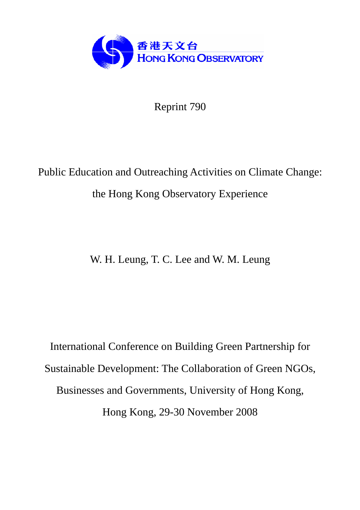

Reprint 790

# Public Education and Outreaching Activities on Climate Change: the Hong Kong Observatory Experience

W. H. Leung, T. C. Lee and W. M. Leung

International Conference on Building Green Partnership for Sustainable Development: The Collaboration of Green NGOs, Businesses and Governments, University of Hong Kong, Hong Kong, 29-30 November 2008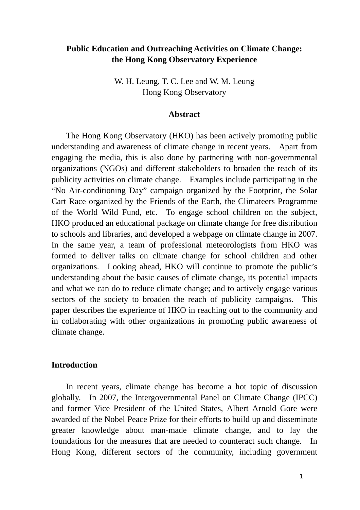# **Public Education and Outreaching Activities on Climate Change: the Hong Kong Observatory Experience**

W. H. Leung, T. C. Lee and W. M. Leung Hong Kong Observatory

#### **Abstract**

The Hong Kong Observatory (HKO) has been actively promoting public understanding and awareness of climate change in recent years. Apart from engaging the media, this is also done by partnering with non-governmental organizations (NGOs) and different stakeholders to broaden the reach of its publicity activities on climate change. Examples include participating in the "No Air-conditioning Day" campaign organized by the Footprint, the Solar Cart Race organized by the Friends of the Earth, the Climateers Programme of the World Wild Fund, etc. To engage school children on the subject, HKO produced an educational package on climate change for free distribution to schools and libraries, and developed a webpage on climate change in 2007. In the same year, a team of professional meteorologists from HKO was formed to deliver talks on climate change for school children and other organizations. Looking ahead, HKO will continue to promote the public's understanding about the basic causes of climate change, its potential impacts and what we can do to reduce climate change; and to actively engage various sectors of the society to broaden the reach of publicity campaigns. This paper describes the experience of HKO in reaching out to the community and in collaborating with other organizations in promoting public awareness of climate change.

## **Introduction**

In recent years, climate change has become a hot topic of discussion globally. In 2007, the Intergovernmental Panel on Climate Change (IPCC) and former Vice President of the United States, Albert Arnold Gore were awarded of the Nobel Peace Prize for their efforts to build up and disseminate greater knowledge about man-made climate change, and to lay the foundations for the measures that are needed to counteract such change. In Hong Kong, different sectors of the community, including government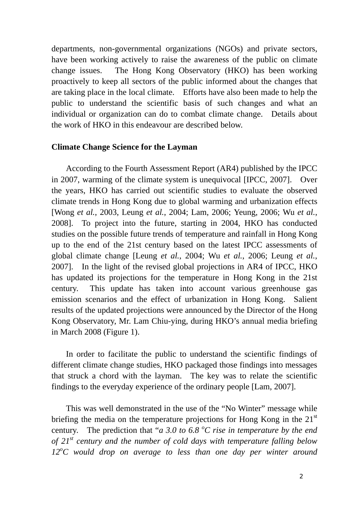departments, non-governmental organizations (NGOs) and private sectors, have been working actively to raise the awareness of the public on climate change issues. The Hong Kong Observatory (HKO) has been working proactively to keep all sectors of the public informed about the changes that are taking place in the local climate. Efforts have also been made to help the public to understand the scientific basis of such changes and what an individual or organization can do to combat climate change. Details about the work of HKO in this endeavour are described below.

### **Climate Change Science for the Layman**

 According to the Fourth Assessment Report (AR4) published by the IPCC in 2007, warming of the climate system is unequivocal [IPCC, 2007]. Over the years, HKO has carried out scientific studies to evaluate the observed climate trends in Hong Kong due to global warming and urbanization effects [Wong *et al.*, 2003, Leung *et al.*, 2004; Lam, 2006; Yeung, 2006; Wu *et al.*, 2008]. To project into the future, starting in 2004, HKO has conducted studies on the possible future trends of temperature and rainfall in Hong Kong up to the end of the 21st century based on the latest IPCC assessments of global climate change [Leung *et al.*, 2004; Wu *et al.*, 2006; Leung *et al.*, 2007]. In the light of the revised global projections in AR4 of IPCC, HKO has updated its projections for the temperature in Hong Kong in the 21st century. This update has taken into account various greenhouse gas emission scenarios and the effect of urbanization in Hong Kong. Salient results of the updated projections were announced by the Director of the Hong Kong Observatory, Mr. Lam Chiu-ying, during HKO's annual media briefing in March 2008 (Figure 1).

In order to facilitate the public to understand the scientific findings of different climate change studies, HKO packaged those findings into messages that struck a chord with the layman. The key was to relate the scientific findings to the everyday experience of the ordinary people [Lam, 2007].

 This was well demonstrated in the use of the "No Winter" message while briefing the media on the temperature projections for Hong Kong in the  $21<sup>st</sup>$ century. The prediction that "*a 3.0 to 6.8 °C rise in temperature by the end of 21st century and the number of cold days with temperature falling below*  12<sup>o</sup>C would drop on average to less than one day per winter around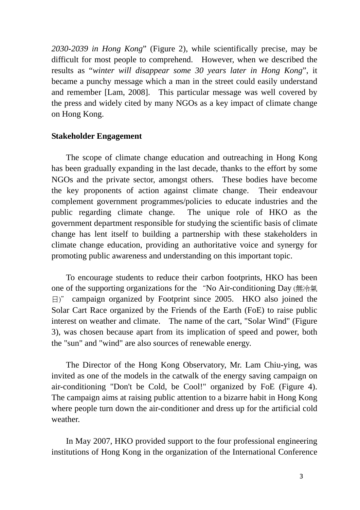*2030-2039 in Hong Kong*" (Figure 2), while scientifically precise, may be difficult for most people to comprehend. However, when we described the results as "*winter will disappear some 30 years later in Hong Kong*", it became a punchy message which a man in the street could easily understand and remember [Lam, 2008]. This particular message was well covered by the press and widely cited by many NGOs as a key impact of climate change on Hong Kong.

#### **Stakeholder Engagement**

 The scope of climate change education and outreaching in Hong Kong has been gradually expanding in the last decade, thanks to the effort by some NGOs and the private sector, amongst others. These bodies have become the key proponents of action against climate change. Their endeavour complement government programmes/policies to educate industries and the public regarding climate change. The unique role of HKO as the government department responsible for studying the scientific basis of climate change has lent itself to building a partnership with these stakeholders in climate change education, providing an authoritative voice and synergy for promoting public awareness and understanding on this important topic.

 To encourage students to reduce their carbon footprints, HKO has been one of the supporting organizations for the "No Air-conditioning Day (無冷氣 日)" campaign organized by Footprint since 2005. HKO also joined the Solar Cart Race organized by the Friends of the Earth (FoE) to raise public interest on weather and climate. The name of the cart, "Solar Wind" (Figure 3), was chosen because apart from its implication of speed and power, both the "sun" and "wind" are also sources of renewable energy.

 The Director of the Hong Kong Observatory, Mr. Lam Chiu-ying, was invited as one of the models in the catwalk of the energy saving campaign on air-conditioning "Don't be Cold, be Cool!" organized by FoE (Figure 4). The campaign aims at raising public attention to a bizarre habit in Hong Kong where people turn down the air-conditioner and dress up for the artificial cold weather.

In May 2007, HKO provided support to the four professional engineering institutions of Hong Kong in the organization of the International Conference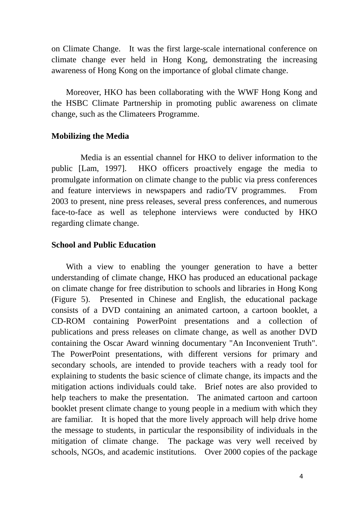on Climate Change. It was the first large-scale international conference on climate change ever held in Hong Kong, demonstrating the increasing awareness of Hong Kong on the importance of global climate change.

 Moreover, HKO has been collaborating with the WWF Hong Kong and the HSBC Climate Partnership in promoting public awareness on climate change, such as the Climateers Programme.

## **Mobilizing the Media**

 Media is an essential channel for HKO to deliver information to the public [Lam, 1997]. HKO officers proactively engage the media to promulgate information on climate change to the public via press conferences and feature interviews in newspapers and radio/TV programmes. From 2003 to present, nine press releases, several press conferences, and numerous face-to-face as well as telephone interviews were conducted by HKO regarding climate change.

## **School and Public Education**

With a view to enabling the younger generation to have a better understanding of climate change, HKO has produced an educational package on climate change for free distribution to schools and libraries in Hong Kong (Figure 5). Presented in Chinese and English, the educational package consists of a DVD containing an animated cartoon, a cartoon booklet, a CD-ROM containing PowerPoint presentations and a collection of publications and press releases on climate change, as well as another DVD containing the Oscar Award winning documentary "An Inconvenient Truth". The PowerPoint presentations, with different versions for primary and secondary schools, are intended to provide teachers with a ready tool for explaining to students the basic science of climate change, its impacts and the mitigation actions individuals could take. Brief notes are also provided to help teachers to make the presentation. The animated cartoon and cartoon booklet present climate change to young people in a medium with which they are familiar. It is hoped that the more lively approach will help drive home the message to students, in particular the responsibility of individuals in the mitigation of climate change. The package was very well received by schools, NGOs, and academic institutions. Over 2000 copies of the package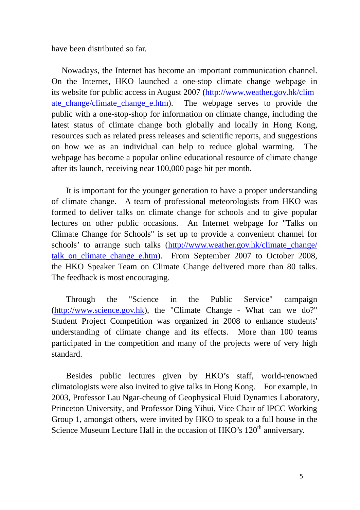have been distributed so far.

Nowadays, the Internet has become an important communication channel. On the Internet, HKO launched a one-stop climate change webpage in its website for public access in August 2007 (http://www.weather.gov.hk/clim ate change/climate change e.htm). The webpage serves to provide the public with a one-stop-shop for information on climate change, including the latest status of climate change both globally and locally in Hong Kong, resources such as related press releases and scientific reports, and suggestions on how we as an individual can help to reduce global warming. The webpage has become a popular online educational resource of climate change after its launch, receiving near 100,000 page hit per month.

It is important for the younger generation to have a proper understanding of climate change. A team of professional meteorologists from HKO was formed to deliver talks on climate change for schools and to give popular lectures on other public occasions. An Internet webpage for "Talks on Climate Change for Schools" is set up to provide a convenient channel for schools' to arrange such talks (http://www.weather.gov.hk/climate\_change/ talk on climate change e.htm). From September 2007 to October 2008, the HKO Speaker Team on Climate Change delivered more than 80 talks. The feedback is most encouraging.

Through the "Science in the Public Service" campaign (http://www.science.gov.hk), the "Climate Change - What can we do?" Student Project Competition was organized in 2008 to enhance students' understanding of climate change and its effects. More than 100 teams participated in the competition and many of the projects were of very high standard.

Besides public lectures given by HKO's staff, world-renowned climatologists were also invited to give talks in Hong Kong. For example, in 2003, Professor Lau Ngar-cheung of Geophysical Fluid Dynamics Laboratory, Princeton University, and Professor Ding Yihui, Vice Chair of IPCC Working Group 1, amongst others, were invited by HKO to speak to a full house in the Science Museum Lecture Hall in the occasion of HKO's 120<sup>th</sup> anniversary.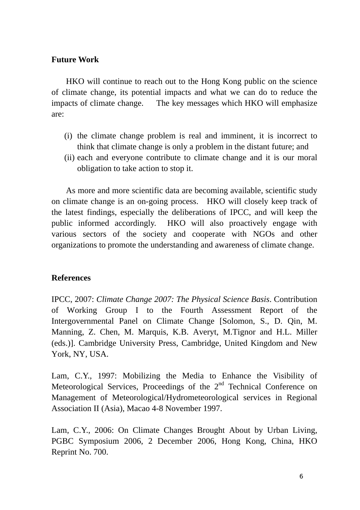# **Future Work**

HKO will continue to reach out to the Hong Kong public on the science of climate change, its potential impacts and what we can do to reduce the impacts of climate change. The key messages which HKO will emphasize are:

- (i) the climate change problem is real and imminent, it is incorrect to think that climate change is only a problem in the distant future; and
- (ii) each and everyone contribute to climate change and it is our moral obligation to take action to stop it.

 As more and more scientific data are becoming available, scientific study on climate change is an on-going process. HKO will closely keep track of the latest findings, especially the deliberations of IPCC, and will keep the public informed accordingly. HKO will also proactively engage with various sectors of the society and cooperate with NGOs and other organizations to promote the understanding and awareness of climate change.

# **References**

IPCC, 2007: *Climate Change 2007: The Physical Science Basis*. Contribution of Working Group I to the Fourth Assessment Report of the Intergovernmental Panel on Climate Change [Solomon, S., D. Qin, M. Manning, Z. Chen, M. Marquis, K.B. Averyt, M.Tignor and H.L. Miller (eds.)]. Cambridge University Press, Cambridge, United Kingdom and New York, NY, USA.

Lam, C.Y., 1997: Mobilizing the Media to Enhance the Visibility of Meteorological Services, Proceedings of the  $2<sup>nd</sup>$  Technical Conference on Management of Meteorological/Hydrometeorological services in Regional Association II (Asia), Macao 4-8 November 1997.

Lam, C.Y., 2006: On Climate Changes Brought About by Urban Living, PGBC Symposium 2006, 2 December 2006, Hong Kong, China, HKO Reprint No. 700.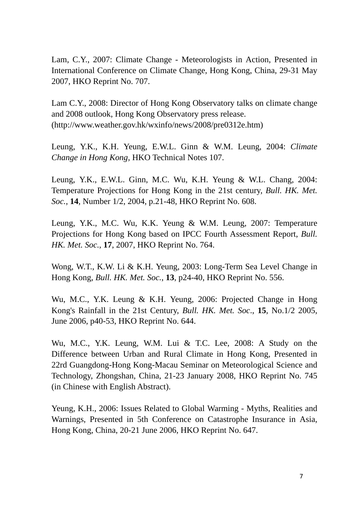Lam, C.Y., 2007: Climate Change - Meteorologists in Action, Presented in International Conference on Climate Change, Hong Kong, China, 29-31 May 2007, HKO Reprint No. 707.

Lam C.Y., 2008: Director of Hong Kong Observatory talks on climate change and 2008 outlook, Hong Kong Observatory press release. (http://www.weather.gov.hk/wxinfo/news/2008/pre0312e.htm)

Leung, Y.K., K.H. Yeung, E.W.L. Ginn & W.M. Leung, 2004: *Climate Change in Hong Kong*, HKO Technical Notes 107.

Leung, Y.K., E.W.L. Ginn, M.C. Wu, K.H. Yeung & W.L. Chang, 2004: Temperature Projections for Hong Kong in the 21st century, *Bull. HK. Met. Soc.*, **14**, Number 1/2, 2004, p.21-48, HKO Reprint No. 608.

Leung, Y.K., M.C. Wu, K.K. Yeung & W.M. Leung, 2007: Temperature Projections for Hong Kong based on IPCC Fourth Assessment Report, *Bull. HK. Met. Soc.*, **17**, 2007, HKO Reprint No. 764.

Wong, W.T., K.W. Li & K.H. Yeung, 2003: Long-Term Sea Level Change in Hong Kong, *Bull. HK. Met. Soc.*, **13**, p24-40, HKO Reprint No. 556.

Wu, M.C., Y.K. Leung & K.H. Yeung, 2006: Projected Change in Hong Kong's Rainfall in the 21st Century, *Bull. HK. Met. Soc*., **15**, No.1/2 2005, June 2006, p40-53, HKO Reprint No. 644.

Wu, M.C., Y.K. Leung, W.M. Lui & T.C. Lee, 2008: A Study on the Difference between Urban and Rural Climate in Hong Kong, Presented in 22rd Guangdong-Hong Kong-Macau Seminar on Meteorological Science and Technology, Zhongshan, China, 21-23 January 2008, HKO Reprint No. 745 (in Chinese with English Abstract).

Yeung, K.H., 2006: Issues Related to Global Warming - Myths, Realities and Warnings, Presented in 5th Conference on Catastrophe Insurance in Asia, Hong Kong, China, 20-21 June 2006, HKO Reprint No. 647.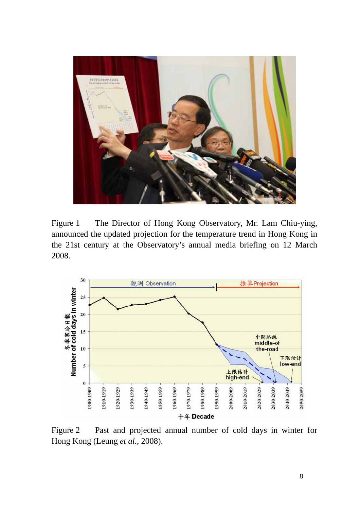

Figure 1 The Director of Hong Kong Observatory, Mr. Lam Chiu-ying, announced the updated projection for the temperature trend in Hong Kong in the 21st century at the Observatory's annual media briefing on 12 March 2008.



Figure 2 Past and projected annual number of cold days in winter for Hong Kong (Leung *et al.*, 2008).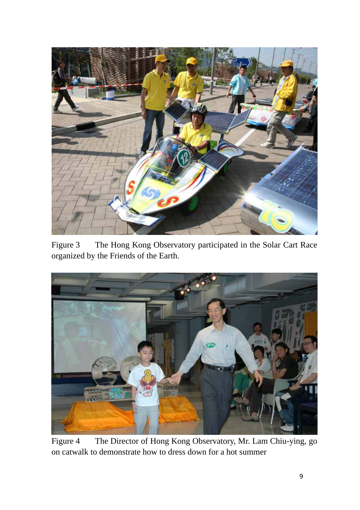

Figure 3 The Hong Kong Observatory participated in the Solar Cart Race organized by the Friends of the Earth.



Figure 4 The Director of Hong Kong Observatory, Mr. Lam Chiu-ying, go on catwalk to demonstrate how to dress down for a hot summer